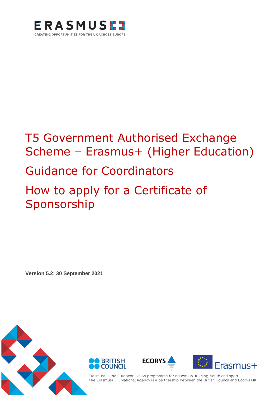

## T5 Government Authorised Exchange Scheme - Erasmus+ (Higher Education)

## Guidance for Coordinators

## How to apply for a Certificate of Sponsorship

**Version 5.2: 30 September 2021**









Erasmus+ is the European Union programme for education, training, youth and sport. The Erasmus+ UK National Agency is a partnership between the British Council and Ecorys UK.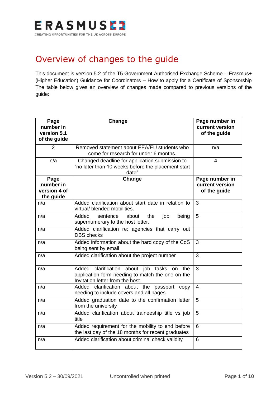

## Overview of changes to the guide

This document is version 5.2 of the T5 Government Authorised Exchange Scheme – Erasmus+ (Higher Education) Guidance for Coordinators – How to apply for a Certificate of Sponsorship The table below gives an overview of changes made compared to previous versions of the guide:

| Page<br>number in<br>version 5.1<br>of the guide | Change                                                                                                                               | Page number in<br>current version<br>of the guide |
|--------------------------------------------------|--------------------------------------------------------------------------------------------------------------------------------------|---------------------------------------------------|
| $\overline{2}$                                   | Removed statement about EEA/EU students who<br>come for research for under 6 months.                                                 | n/a                                               |
| n/a                                              | Changed deadline for application submission to<br>"no later than 10 weeks before the placement start<br>date"                        | $\overline{\mathbf{4}}$                           |
| Page<br>number in<br>version 4 of<br>the guide   | Change                                                                                                                               | Page number in<br>current version<br>of the guide |
| n/a                                              | Added clarification about start date in relation to<br>virtual/ blended mobilities.                                                  | 3                                                 |
| n/a                                              | Added<br>sentence<br>the<br>job<br>about<br>being<br>supernumerary to the host letter.                                               | 5                                                 |
| n/a                                              | Added clarification re: agencies that carry out<br><b>DBS</b> checks                                                                 |                                                   |
| n/a                                              | Added information about the hard copy of the CoS<br>being sent by email                                                              | 3                                                 |
| n/a                                              | Added clarification about the project number                                                                                         | 3                                                 |
| n/a                                              | Added clarification about job tasks on<br>the<br>application form needing to match the one on the<br>Invitation letter from the host | 3                                                 |
| n/a                                              | Added clarification about the<br>passport<br>copy<br>needing to include covers and all pages                                         | $\overline{4}$                                    |
| n/a                                              | Added graduation date to the confirmation letter<br>from the university                                                              | 5                                                 |
| n/a                                              | Added clarification about traineeship title vs job<br>title                                                                          | 5                                                 |
| n/a                                              | Added requirement for the mobility to end before<br>the last day of the 18 months for recent graduates                               | 6                                                 |
| n/a                                              | Added clarification about criminal check validity                                                                                    | 6                                                 |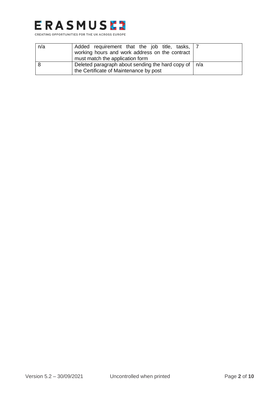

| n/a | Added requirement that the job title, tasks,   7<br>working hours and work address on the contract<br>must match the application form |  |
|-----|---------------------------------------------------------------------------------------------------------------------------------------|--|
|     | Deleted paragraph about sending the hard copy of $ n/a $<br>the Certificate of Maintenance by post                                    |  |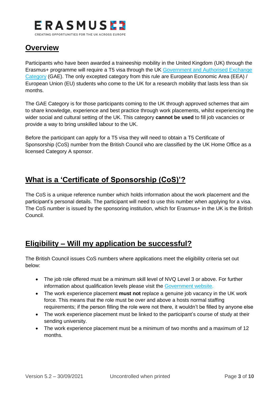

## **Overview**

Participants who have been awarded a traineeship mobility in the United Kingdom (UK) through the Erasmus+ programme will require a T5 visa through the UK [Government and Authorised Exchange](https://www.gov.uk/tier-5-government-authorised-exchange)  [Category](https://www.gov.uk/tier-5-government-authorised-exchange) (GAE). The only excepted category from this rule are European Economic Area (EEA) / European Union (EU) students who come to the UK for a research mobility that lasts less than six months.

The GAE Category is for those participants coming to the UK through approved schemes that aim to share knowledge, experience and best practice through work placements, whilst experiencing the wider social and cultural setting of the UK. This category **cannot be used** to fill job vacancies or provide a way to bring unskilled labour to the UK.

Before the participant can apply for a T5 visa they will need to obtain a T5 Certificate of Sponsorship (CoS) number from the British Council who are classified by the UK Home Office as a licensed Category A sponsor.

## **What is a 'Certificate of Sponsorship (CoS)'?**

The CoS is a unique reference number which holds information about the work placement and the participant's personal details. The participant will need to use this number when applying for a visa. The CoS number is issued by the sponsoring institution, which for Erasmus+ in the UK is the British Council.

### **Eligibility – Will my application be successful?**

The British Council issues CoS numbers where applications meet the eligibility criteria set out below:

- The job role offered must be a minimum skill level of NVQ Level 3 or above. For further information about qualification levels please visit the [Government website.](https://www.gov.uk/what-different-qualification-levels-mean)
- The work experience placement **must not** replace a genuine job vacancy in the UK work force. This means that the role must be over and above a hosts normal staffing requirements; if the person filling the role were not there, it wouldn't be filled by anyone else
- The work experience placement must be linked to the participant's course of study at their sending university.
- The work experience placement must be a minimum of two months and a maximum of 12 months.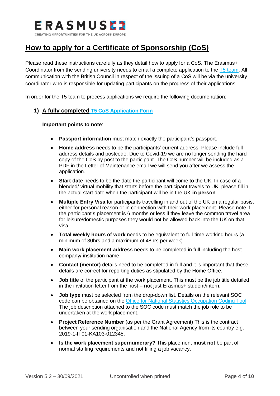

## **How to apply for a Certificate of Sponsorship (CoS)**

Please read these instructions carefully as they detail how to apply for a CoS. The Erasmus+ Coordinator from the sending university needs to email a complete application to the T5 [team.](mailto:Tier5erasmus@britishcouncil.org) All communication with the British Council in respect of the issuing of a CoS will be via the university coordinator who is responsible for updating participants on the progress of their applications.

In order for the T5 team to process applications we require the following documentation:

#### **1) A fully completed [T5 CoS Application Form](https://www.erasmusplus.org.uk/file/2469/download)**

- **Passport information** must match exactly the participant's passport.
- **Home address** needs to be the participants' current address. Please include full address details and postcode. Due to Covid-19 we are no longer sending the hard copy of the CoS by post to the participant. The CoS number will be included as a PDF in the Letter of Maintenance email we will send you after we assess the application.
- **Start date** needs to be the date the participant will come to the UK. In case of a blended/ virtual mobility that starts before the participant travels to UK, please fill in the actual start date when the participant will be in the UK **in person**.
- **Multiple Entry Visa** for participants travelling in and out of the UK on a regular basis, either for personal reason or in connection with their work placement. Please note if the participant's placement is 6 months or less if they leave the common travel area for leisure/domestic purposes they would not be allowed back into the UK on that visa.
- **Total weekly hours of work** needs to be equivalent to full-time working hours (a minimum of 30hrs and a maximum of 48hrs per week).
- **Main work placement address** needs to be completed in full including the host company/ institution name.
- **Contact (mentor)** details need to be completed in full and it is important that these details are correct for reporting duties as stipulated by the Home Office.
- **Job title** of the participant at the work placement. This must be the job title detailed in the invitation letter from the host – **not** just Erasmus+ student/intern.
- **Job type** must be selected from the drop-down list. Details on the relevant SOC code can be obtained on the [Office for National Statistics](https://onsdigital.github.io/dp-classification-tools/standard-occupational-classification/ONS_SOC_occupation_coding_tool.html) Occupation Coding Tool. The job description attached to the SOC code must match the job role to be undertaken at the work placement.
- **Project Reference Number** (as per the Grant Agreement) This is the contract between your sending organisation and the National Agency from its country e.g. 2019-1-IT01-KA103-012345.
- **Is the work placement supernumerary?** This placement **must not** be part of normal staffing requirements and not filling a job vacancy.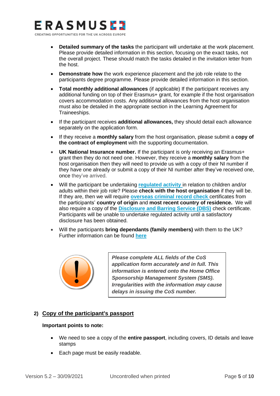# ERASMUSEZ

CREATING OPPORTUNITIES FOR THE UK ACROSS EUROPE

- **Detailed summary of the tasks** the participant will undertake at the work placement. Please provide detailed information in this section, focusing on the exact tasks, not the overall project. These should match the tasks detailed in the invitation letter from the host.
- **Demonstrate how** the work experience placement and the job role relate to the participants degree programme. Please provide detailed information in this section.
- **Total monthly additional allowances** (if applicable) If the participant receives any additional funding on top of their Erasmus+ grant, for example if the host organisation covers accommodation costs. Any additional allowances from the host organisation must also be detailed in the appropriate section in the Learning Agreement for Traineeships.
- If the participant receives **additional allowances,** they should detail each allowance separately on the application form.
- If they receive a **monthly salary** from the host organisation, please submit a **copy of the contract of employment** with the supporting documentation.
- **UK National Insurance number.** If the participant is only receiving an Erasmus+ grant then they do not need one. However, they receive a **monthly salary** from the host organisation then they will need to provide us with a copy of their NI number if they have one already or submit a copy of their NI number after they've received one, once they've arrived.
- Will the participant be undertaking **[regulated activity](https://www.gov.uk/government/publications/dbs-guidance-leaflets)** in relation to children and/or adults within their job role? Please **check with the host organisation** if they will be. If they are, then we will require **[overseas criminal record check](https://www.gov.uk/government/publications/criminal-records-checks-for-overseas-applicants)** certificates from the participants' **country of origin** and **most recent country of residence.** We will also require a copy of the **[Disclosure and Barring Service \(DBS\)](https://www.gov.uk/dbs-check-applicant-criminal-record)** check certificate. Participants will be unable to undertake regulated activity until a satisfactory disclosure has been obtained.
- Will the participants **bring dependants (family members)** with them to the UK? Further information can be found **[here](https://www.gov.uk/tier-5-government-authorised-exchange/family-members)**



*Please complete ALL fields of the CoS application form accurately and in full. This information is entered onto the Home Office Sponsorship Management System (SMS). Irregularities with the information may cause delays in issuing the CoS number.*

#### **2) Copy of the participant's passport**

- We need to see a copy of the **entire passport**, including covers, ID details and leave stamps
- Each page must be easily readable.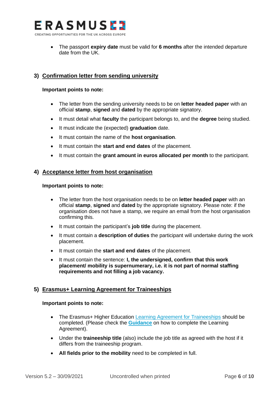

• The passport **expiry date** must be valid for **6 months** after the intended departure date from the UK.

#### **3) Confirmation letter from sending university**

#### **Important points to note:**

- The letter from the sending university needs to be on **letter headed paper** with an official **stamp**, **signed** and **dated** by the appropriate signatory.
- It must detail what **faculty** the participant belongs to, and the **degree** being studied.
- It must indicate the (expected) **graduation** date.
- It must contain the name of the **host organisation**.
- It must contain the **start and end dates** of the placement.
- It must contain the **grant amount in euros allocated per month** to the participant.

#### **4) Acceptance letter from host organisation**

#### **Important points to note:**

- The letter from the host organisation needs to be on **letter headed paper** with an official **stamp**, **signed** and **dated** by the appropriate signatory. Please note: if the organisation does not have a stamp, we require an email from the host organisation confirming this.
- It must contain the participant's **job title** during the placement.
- It must contain a **description of duties** the participant will undertake during the work placement.
- It must contain the **start and end dates** of the placement.
- It must contain the sentence: **I, the undersigned, confirm that this work placement/ mobility is supernumerary, i.e. it is not part of normal staffing requirements and not filling a job vacancy.**

#### **5) Erasmus+ Learning Agreement for Traineeships**

- The Erasmus+ Higher Education [Learning Agreement for Traineeships](https://ec.europa.eu/programmes/erasmus-plus/resources/documents/applicants/learning-agreement_en) should be completed. (Please check the **[Guidance](https://ec.europa.eu/programmes/erasmus-plus/sites/default/files/learning-traineeships-guidelines_en.pdf)** on how to complete the Learning Agreement).
- Under the **traineeship title** (also) include the job title as agreed with the host if it differs from the traineeship program.
- **All fields prior to the mobility** need to be completed in full.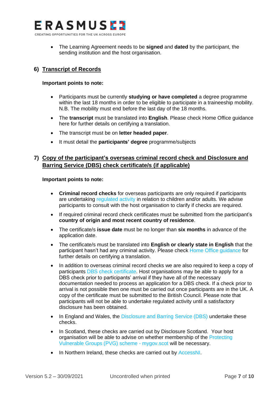

• The Learning Agreement needs to be **signed** and **dated** by the participant, the sending institution and the host organisation.

#### **6) Transcript of Records**

#### **Important points to note:**

- Participants must be currently **studying or have completed** a degree programme within the last 18 months in order to be eligible to participate in a traineeship mobility. N.B. The mobility must end before the last day of the 18 months.
- The **transcript** must be translated into **English**. Please check Home Office guidance [here](https://www.gov.uk/certifying-a-document) for further details on certifying a translation.
- The transcript must be on **letter headed paper**.
- It must detail the **participants' degree** programme/subjects

#### **7) Copy of the participant's overseas criminal record check and Disclosure and Barring Service (DBS) check certificate/s (if applicable)**

- **Criminal record checks** for overseas participants are only required if participants are undertaking [regulated activity](https://www.gov.uk/government/publications/dbs-guidance-leaflets) in relation to children and/or adults. We advise participants to consult with the host organisation to clarify if checks are required.
- If required criminal record check certificates must be submitted from the participant's **country of origin and most recent country of residence**.
- The certificate/s **issue date** must be no longer than **six months** in advance of the application date.
- The certificate/s must be translated into **English or clearly state in English** that the participant hasn't had any criminal activity. Please check [Home Office guidance](https://www.gov.uk/certifying-a-document) for further details on certifying a translation.
- In addition to overseas criminal record checks we are also required to keep a copy of participants [DBS check certificate.](https://www.gov.uk/dbs-check-applicant-criminal-record) Host organisations may be able to apply for a DBS check prior to participants' arrival if they have all of the necessary documentation needed to process an application for a DBS check. If a check prior to arrival is not possible then one must be carried out once participants are in the UK. A copy of the certificate must be submitted to the British Council. Please note that participants will not be able to undertake regulated activity until a satisfactory disclosure has been obtained.
- In England and Wales, the [Disclosure and Barring Service \(DBS\)](https://www.gov.uk/dbs-check-applicant-criminal-record) undertake these checks.
- In Scotland, these checks are carried out by Disclosure Scotland. Your host organisation will be able to advise on whether membership of the [Protecting](https://www.mygov.scot/pvg-scheme)  [Vulnerable Groups \(PVG\) scheme -](https://www.mygov.scot/pvg-scheme) mygov.scot will be necessary.
- In Northern Ireland, these checks are carried out by [AccessNI.](https://www.nidirect.gov.uk/campaigns/accessni-criminal-record-checks)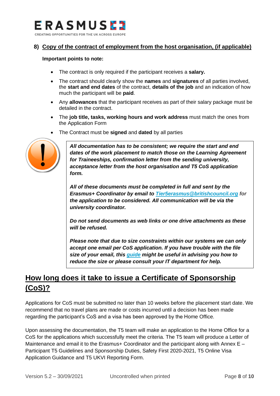

#### **8) Copy of the contract of employment from the host organisation, (if applicable)**

#### **Important points to note:**

- The contract is only required if the participant receives a **salary.**
- The contract should clearly show the **names** and **signatures** of all parties involved, the **start and end dates** of the contract, **details of the job** and an indication of how much the participant will be **paid**.
- Any **allowances** that the participant receives as part of their salary package must be detailed in the contract.
- The **job title, tasks, working hours and work address** must match the ones from the Application Form
- The Contract must be **signed** and **dated** by all parties



*All documentation has to be consistent; we require the start and end dates of the work placement to match those on the Learning Agreement for Traineeships, confirmation letter from the sending university, acceptance letter from the host organisation and T5 CoS application form.* 

*All of these documents must be completed in full and sent by the Erasmus+ Coordinator by email to [Tier5erasmus@britishcouncil.org](mailto:Tier5erasmus@britishcouncil.org) for the application to be considered. All communication will be via the university coordinator.* 

*Do not send documents as web links or one drive attachments as these will be refused.* 

*Please note that due to size constraints within our systems we can only accept one email per CoS application. If you have trouble with the file size of your email, this [guide](https://www.wikihow.com/Compress-a-PDF-File) might be useful in advising you how to reduce the size or please consult your IT department for help.*

## **How long does it take to issue a Certificate of Sponsorship (CoS)?**

Applications for CoS must be submitted no later than 10 weeks before the placement start date. We recommend that no travel plans are made or costs incurred until a decision has been made regarding the participant's CoS and a visa has been approved by the Home Office.

Upon assessing the documentation, the T5 team will make an application to the Home Office for a CoS for the applications which successfully meet the criteria. The T5 team will produce a Letter of Maintenance and email it to the Erasmus+ Coordinator and the participant along with Annex E – Participant T5 Guidelines and Sponsorship Duties, Safety First 2020-2021, T5 Online Visa Application Guidance and T5 UKVI Reporting Form.